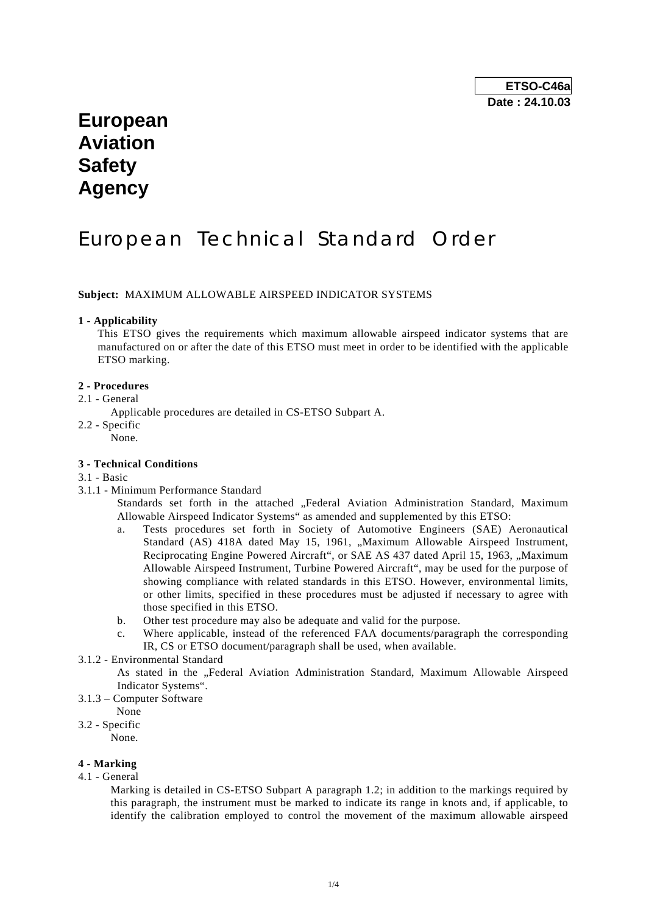# **European Aviation Safety Agency**

# European Technical Standard Order

# **Subject:** MAXIMUM ALLOWABLE AIRSPEED INDICATOR SYSTEMS

## **1 - Applicability**

 This ETSO gives the requirements which maximum allowable airspeed indicator systems that are manufactured on or after the date of this ETSO must meet in order to be identified with the applicable ETSO marking.

# **2 - Procedures**

- 2.1 General
	- Applicable procedures are detailed in CS-ETSO Subpart A.
- 2.2 Specific

None.

# **3 - Technical Conditions**

## 3.1 - Basic

3.1.1 - Minimum Performance Standard

Standards set forth in the attached "Federal Aviation Administration Standard, Maximum Allowable Airspeed Indicator Systems" as amended and supplemented by this ETSO:

- a. Tests procedures set forth in Society of Automotive Engineers (SAE) Aeronautical Standard (AS) 418A dated May 15, 1961, "Maximum Allowable Airspeed Instrument, Reciprocating Engine Powered Aircraft", or SAE AS 437 dated April 15, 1963, "Maximum Allowable Airspeed Instrument, Turbine Powered Aircraft", may be used for the purpose of showing compliance with related standards in this ETSO. However, environmental limits, or other limits, specified in these procedures must be adjusted if necessary to agree with those specified in this ETSO.
- b. Other test procedure may also be adequate and valid for the purpose.
- c. Where applicable, instead of the referenced FAA documents/paragraph the corresponding IR, CS or ETSO document/paragraph shall be used, when available.
- 3.1.2 Environmental Standard

 As stated in the "Federal Aviation Administration Standard, Maximum Allowable Airspeed Indicator Systems".

- 3.1.3 Computer Software
	- None

# 3.2 - Specific

None.

# **4 - Marking**

4.1 - General

 Marking is detailed in CS-ETSO Subpart A paragraph 1.2; in addition to the markings required by this paragraph, the instrument must be marked to indicate its range in knots and, if applicable, to identify the calibration employed to control the movement of the maximum allowable airspeed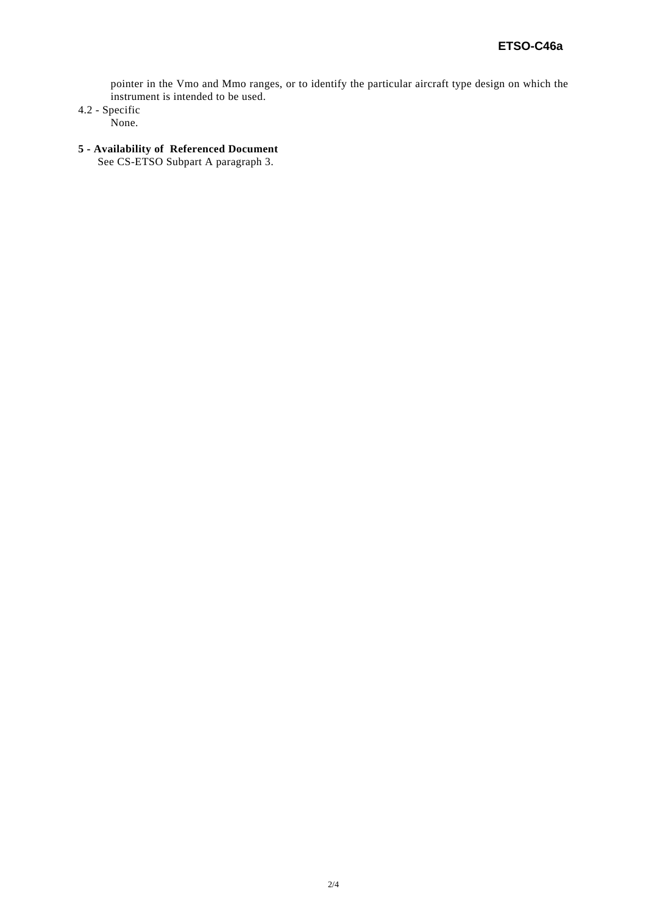pointer in the Vmo and Mmo ranges, or to identify the particular aircraft type design on which the instrument is intended to be used.

4.2 - Specific

None.

# **5 - Availability of Referenced Document**

See CS-ETSO Subpart A paragraph 3.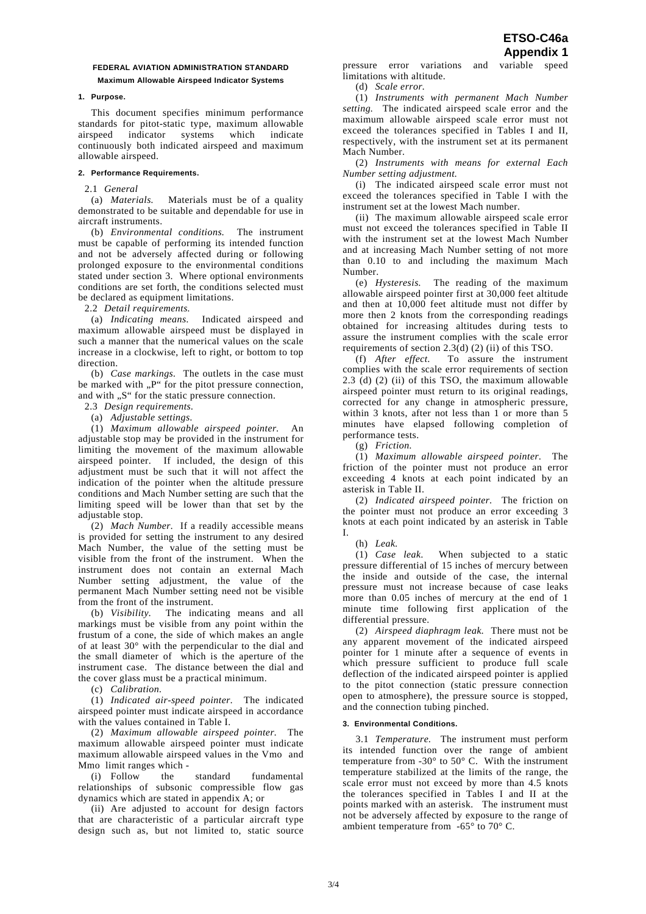# **FEDERAL AVIATION ADMINISTRATION STANDARD Maximum Allowable Airspeed Indicator Systems**

## **1. Purpose.**

 This document specifies minimum performance standards for pitot-static type, maximum allowable airspeed indicator systems which indicate continuously both indicated airspeed and maximum allowable airspeed.

## **2. Performance Requirements.**

2.1 *General*

 (a) *Materials.* Materials must be of a quality demonstrated to be suitable and dependable for use in aircraft instruments.

 (b) *Environmental conditions.* The instrument must be capable of performing its intended function and not be adversely affected during or following prolonged exposure to the environmental conditions stated under section 3. Where optional environments conditions are set forth, the conditions selected must be declared as equipment limitations.

2.2 *Detail requirements.* 

 (a) *Indicating means.* Indicated airspeed and maximum allowable airspeed must be displayed in such a manner that the numerical values on the scale increase in a clockwise, left to right, or bottom to top direction.

 (b) *Case markings.* The outlets in the case must be marked with "P" for the pitot pressure connection, and with "S" for the static pressure connection.

2.3 *Design requirements.* 

(a) *Adjustable settings.* 

 (1) *Maximum allowable airspeed pointer.* An adjustable stop may be provided in the instrument for limiting the movement of the maximum allowable airspeed pointer. If included, the design of this adjustment must be such that it will not affect the indication of the pointer when the altitude pressure conditions and Mach Number setting are such that the limiting speed will be lower than that set by the adjustable stop.

 (2) *Mach Number.* If a readily accessible means is provided for setting the instrument to any desired Mach Number, the value of the setting must be visible from the front of the instrument. When the instrument does not contain an external Mach Number setting adjustment, the value of the permanent Mach Number setting need not be visible from the front of the instrument.

 (b) *Visibility.* The indicating means and all markings must be visible from any point within the frustum of a cone, the side of which makes an angle of at least 30° with the perpendicular to the dial and the small diameter of which is the aperture of the instrument case. The distance between the dial and the cover glass must be a practical minimum.

(c) *Calibration.*

 (1) *Indicated air-speed pointer.* The indicated airspeed pointer must indicate airspeed in accordance with the values contained in Table I.

 (2) *Maximum allowable airspeed pointer.* The maximum allowable airspeed pointer must indicate maximum allowable airspeed values in the Vmo and Mmo limit ranges which -

 (i) Follow the standard fundamental relationships of subsonic compressible flow gas dynamics which are stated in appendix A; or

 (ii) Are adjusted to account for design factors that are characteristic of a particular aircraft type design such as, but not limited to, static source pressure error variations and variable speed limitations with altitude.

(d) *Scale error.* 

 (1) *Instruments with permanent Mach Number setting.* The indicated airspeed scale error and the maximum allowable airspeed scale error must not exceed the tolerances specified in Tables I and II, respectively, with the instrument set at its permanent Mach Number.

 (2) *Instruments with means for external Each Number setting adjustment.* 

 (i) The indicated airspeed scale error must not exceed the tolerances specified in Table I with the instrument set at the lowest Mach number.

 (ii) The maximum allowable airspeed scale error must not exceed the tolerances specified in Table II with the instrument set at the lowest Mach Number and at increasing Mach Number setting of not more than 0.10 to and including the maximum Mach Number.

 (e) *Hysteresis.* The reading of the maximum allowable airspeed pointer first at 30,000 feet altitude and then at 10,000 feet altitude must not differ by more then 2 knots from the corresponding readings obtained for increasing altitudes during tests to assure the instrument complies with the scale error requirements of section  $2.3(d)$  (2) (ii) of this TSO.

 (f) *After effect.* To assure the instrument complies with the scale error requirements of section 2.3 (d) (2) (ii) of this TSO, the maximum allowable airspeed pointer must return to its original readings, corrected for any change in atmospheric pressure, within 3 knots, after not less than 1 or more than 5 minutes have elapsed following completion of performance tests.

(g) *Friction.*

 (1) *Maximum allowable airspeed pointer.* The friction of the pointer must not produce an error exceeding 4 knots at each point indicated by an asterisk in Table II.

 (2) *Indicated airspeed pointer.* The friction on the pointer must not produce an error exceeding 3 knots at each point indicated by an asterisk in Table I.

 (h) *Leak.* When subjected to a static pressure differential of 15 inches of mercury between the inside and outside of the case, the internal pressure must not increase because of case leaks more than 0.05 inches of mercury at the end of 1 minute time following first application of the differential pressure.

 (2) *Airspeed diaphragm leak.* There must not be any apparent movement of the indicated airspeed pointer for 1 minute after a sequence of events in which pressure sufficient to produce full scale deflection of the indicated airspeed pointer is applied to the pitot connection (static pressure connection open to atmosphere), the pressure source is stopped, and the connection tubing pinched.

# **3. Environmental Conditions.**

 3.1 *Temperature.* The instrument must perform its intended function over the range of ambient temperature from  $-30^{\circ}$  to  $50^{\circ}$  C. With the instrument temperature stabilized at the limits of the range, the scale error must not exceed by more than 4.5 knots the tolerances specified in Tables I and II at the points marked with an asterisk. The instrument must not be adversely affected by exposure to the range of ambient temperature from -65° to 70° C.